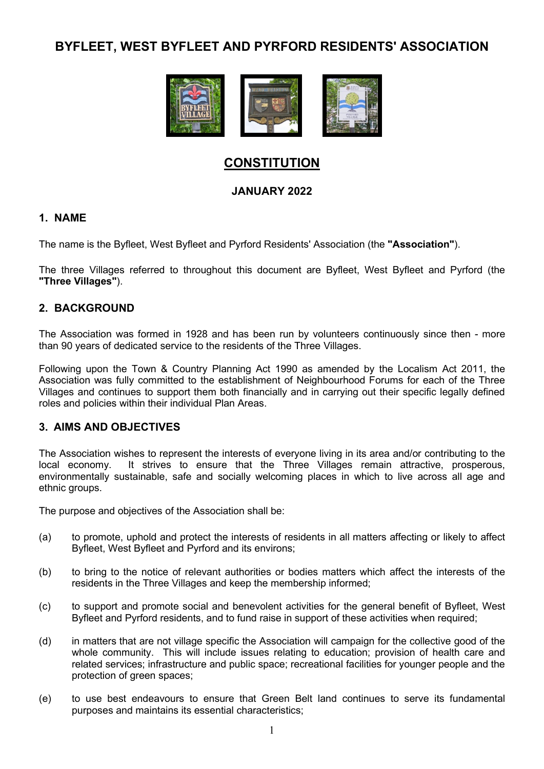# BYFLEET, WEST BYFLEET AND PYRFORD RESIDENTS' ASSOCIATION



# **CONSTITUTION**

# JANUARY 2022

# 1. NAME

The name is the Byfleet, West Byfleet and Pyrford Residents' Association (the "Association").

The three Villages referred to throughout this document are Byfleet, West Byfleet and Pyrford (the "Three Villages").

# 2. BACKGROUND

The Association was formed in 1928 and has been run by volunteers continuously since then - more than 90 years of dedicated service to the residents of the Three Villages.

Following upon the Town & Country Planning Act 1990 as amended by the Localism Act 2011, the Association was fully committed to the establishment of Neighbourhood Forums for each of the Three Villages and continues to support them both financially and in carrying out their specific legally defined roles and policies within their individual Plan Areas.

#### 3. AIMS AND OBJECTIVES

The Association wishes to represent the interests of everyone living in its area and/or contributing to the local economy. It strives to ensure that the Three Villages remain attractive, prosperous, environmentally sustainable, safe and socially welcoming places in which to live across all age and ethnic groups.

The purpose and objectives of the Association shall be:

- (a) to promote, uphold and protect the interests of residents in all matters affecting or likely to affect Byfleet, West Byfleet and Pyrford and its environs;
- (b) to bring to the notice of relevant authorities or bodies matters which affect the interests of the residents in the Three Villages and keep the membership informed;
- (c) to support and promote social and benevolent activities for the general benefit of Byfleet, West Byfleet and Pyrford residents, and to fund raise in support of these activities when required;
- (d) in matters that are not village specific the Association will campaign for the collective good of the whole community. This will include issues relating to education; provision of health care and related services; infrastructure and public space; recreational facilities for younger people and the protection of green spaces;
- (e) to use best endeavours to ensure that Green Belt land continues to serve its fundamental purposes and maintains its essential characteristics;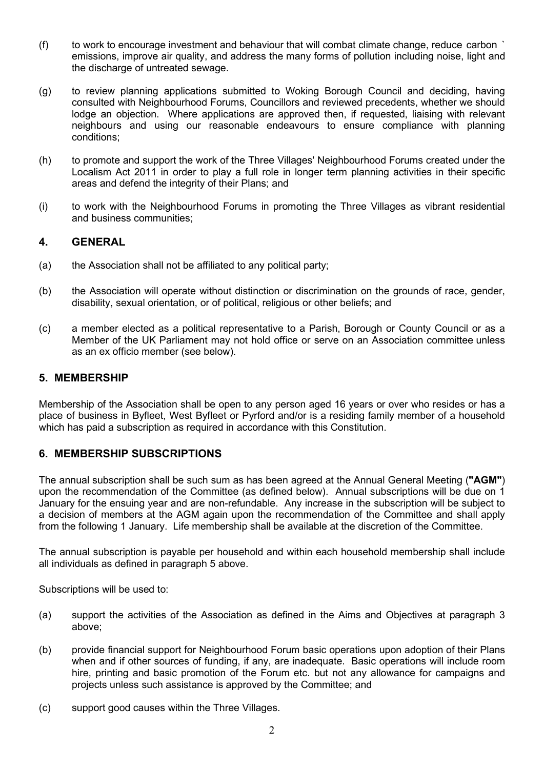- (f) to work to encourage investment and behaviour that will combat climate change, reduce carbon ` emissions, improve air quality, and address the many forms of pollution including noise, light and the discharge of untreated sewage.
- (g) to review planning applications submitted to Woking Borough Council and deciding, having consulted with Neighbourhood Forums, Councillors and reviewed precedents, whether we should lodge an objection. Where applications are approved then, if requested, liaising with relevant neighbours and using our reasonable endeavours to ensure compliance with planning conditions;
- (h) to promote and support the work of the Three Villages' Neighbourhood Forums created under the Localism Act 2011 in order to play a full role in longer term planning activities in their specific areas and defend the integrity of their Plans; and
- (i) to work with the Neighbourhood Forums in promoting the Three Villages as vibrant residential and business communities;

# 4. GENERAL

- (a) the Association shall not be affiliated to any political party;
- (b) the Association will operate without distinction or discrimination on the grounds of race, gender, disability, sexual orientation, or of political, religious or other beliefs; and
- (c) a member elected as a political representative to a Parish, Borough or County Council or as a Member of the UK Parliament may not hold office or serve on an Association committee unless as an ex officio member (see below).

#### 5. MEMBERSHIP

Membership of the Association shall be open to any person aged 16 years or over who resides or has a place of business in Byfleet, West Byfleet or Pyrford and/or is a residing family member of a household which has paid a subscription as required in accordance with this Constitution.

# 6. MEMBERSHIP SUBSCRIPTIONS

The annual subscription shall be such sum as has been agreed at the Annual General Meeting ("AGM") upon the recommendation of the Committee (as defined below). Annual subscriptions will be due on 1 January for the ensuing year and are non-refundable. Any increase in the subscription will be subject to a decision of members at the AGM again upon the recommendation of the Committee and shall apply from the following 1 January. Life membership shall be available at the discretion of the Committee.

The annual subscription is payable per household and within each household membership shall include all individuals as defined in paragraph 5 above.

Subscriptions will be used to:

- (a) support the activities of the Association as defined in the Aims and Objectives at paragraph 3 above;
- (b) provide financial support for Neighbourhood Forum basic operations upon adoption of their Plans when and if other sources of funding, if any, are inadequate. Basic operations will include room hire, printing and basic promotion of the Forum etc. but not any allowance for campaigns and projects unless such assistance is approved by the Committee; and
- (c) support good causes within the Three Villages.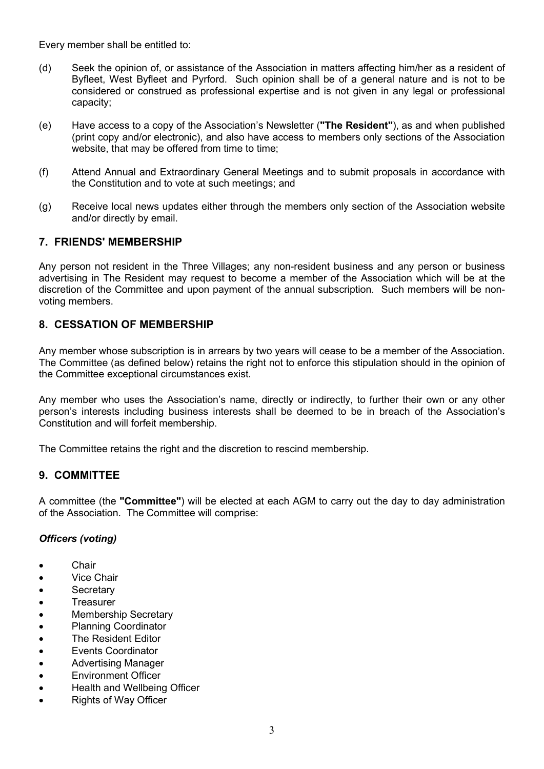Every member shall be entitled to:

- (d) Seek the opinion of, or assistance of the Association in matters affecting him/her as a resident of Byfleet, West Byfleet and Pyrford. Such opinion shall be of a general nature and is not to be considered or construed as professional expertise and is not given in any legal or professional capacity;
- (e) Have access to a copy of the Association's Newsletter ("The Resident"), as and when published (print copy and/or electronic), and also have access to members only sections of the Association website, that may be offered from time to time;
- (f) Attend Annual and Extraordinary General Meetings and to submit proposals in accordance with the Constitution and to vote at such meetings; and
- (g) Receive local news updates either through the members only section of the Association website and/or directly by email.

# 7. FRIENDS' MEMBERSHIP

Any person not resident in the Three Villages; any non-resident business and any person or business advertising in The Resident may request to become a member of the Association which will be at the discretion of the Committee and upon payment of the annual subscription. Such members will be nonvoting members.

# 8. CESSATION OF MEMBERSHIP

Any member whose subscription is in arrears by two years will cease to be a member of the Association. The Committee (as defined below) retains the right not to enforce this stipulation should in the opinion of the Committee exceptional circumstances exist.

Any member who uses the Association's name, directly or indirectly, to further their own or any other person's interests including business interests shall be deemed to be in breach of the Association's Constitution and will forfeit membership.

The Committee retains the right and the discretion to rescind membership.

#### 9. COMMITTEE

A committee (the "Committee") will be elected at each AGM to carry out the day to day administration of the Association. The Committee will comprise:

#### Officers (voting)

- **•** Chair
- Vice Chair
- **•** Secretary
- Treasurer
- Membership Secretary
- Planning Coordinator
- The Resident Editor
- Events Coordinator
- Advertising Manager
- **Environment Officer**
- Health and Wellbeing Officer
- Rights of Way Officer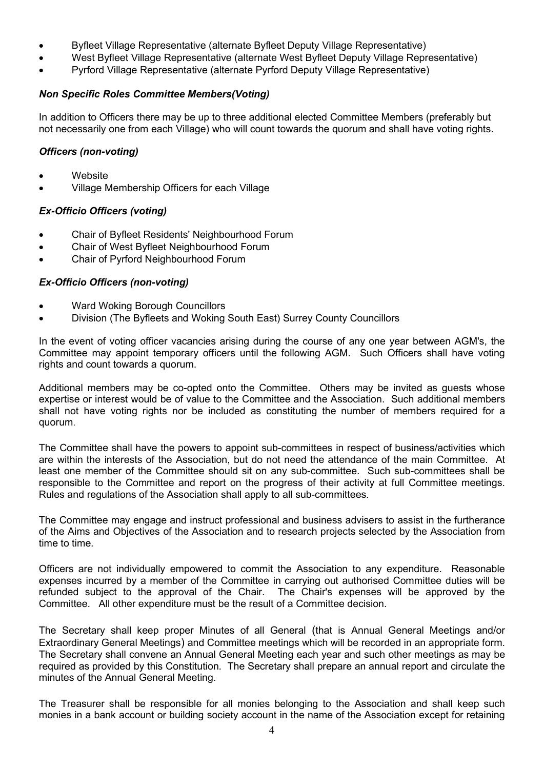- Byfleet Village Representative (alternate Byfleet Deputy Village Representative)
- West Byfleet Village Representative (alternate West Byfleet Deputy Village Representative)
- Pyrford Village Representative (alternate Pyrford Deputy Village Representative)

#### Non Specific Roles Committee Members(Voting)

In addition to Officers there may be up to three additional elected Committee Members (preferably but not necessarily one from each Village) who will count towards the quorum and shall have voting rights.

#### Officers (non-voting)

- Website
- Village Membership Officers for each Village

# Ex-Officio Officers (voting)

- Chair of Byfleet Residents' Neighbourhood Forum
- Chair of West Byfleet Neighbourhood Forum
- Chair of Pyrford Neighbourhood Forum

# Ex-Officio Officers (non-voting)

- Ward Woking Borough Councillors
- Division (The Byfleets and Woking South East) Surrey County Councillors

In the event of voting officer vacancies arising during the course of any one year between AGM's, the Committee may appoint temporary officers until the following AGM. Such Officers shall have voting rights and count towards a quorum.

Additional members may be co-opted onto the Committee. Others may be invited as guests whose expertise or interest would be of value to the Committee and the Association. Such additional members shall not have voting rights nor be included as constituting the number of members required for a quorum.

The Committee shall have the powers to appoint sub-committees in respect of business/activities which are within the interests of the Association, but do not need the attendance of the main Committee. At least one member of the Committee should sit on any sub-committee. Such sub-committees shall be responsible to the Committee and report on the progress of their activity at full Committee meetings. Rules and regulations of the Association shall apply to all sub-committees.

The Committee may engage and instruct professional and business advisers to assist in the furtherance of the Aims and Objectives of the Association and to research projects selected by the Association from time to time.

Officers are not individually empowered to commit the Association to any expenditure. Reasonable expenses incurred by a member of the Committee in carrying out authorised Committee duties will be refunded subject to the approval of the Chair. The Chair's expenses will be approved by the Committee. All other expenditure must be the result of a Committee decision.

The Secretary shall keep proper Minutes of all General (that is Annual General Meetings and/or Extraordinary General Meetings) and Committee meetings which will be recorded in an appropriate form. The Secretary shall convene an Annual General Meeting each year and such other meetings as may be required as provided by this Constitution. The Secretary shall prepare an annual report and circulate the minutes of the Annual General Meeting.

The Treasurer shall be responsible for all monies belonging to the Association and shall keep such monies in a bank account or building society account in the name of the Association except for retaining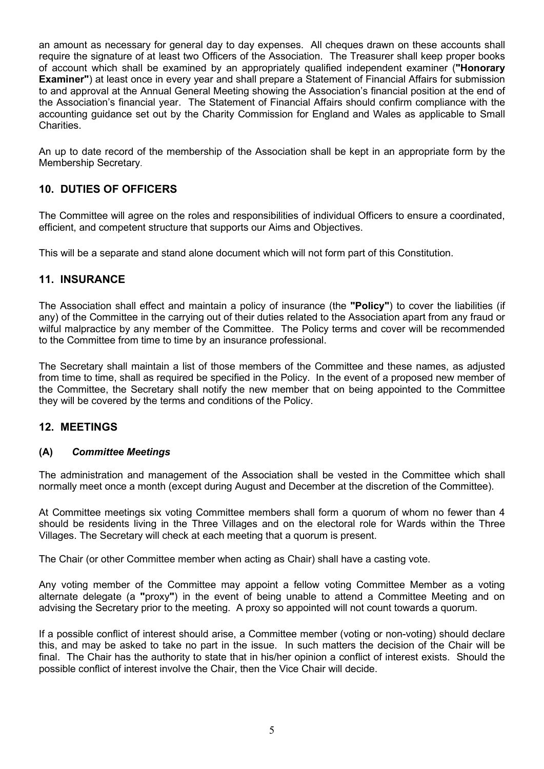an amount as necessary for general day to day expenses. All cheques drawn on these accounts shall require the signature of at least two Officers of the Association. The Treasurer shall keep proper books of account which shall be examined by an appropriately qualified independent examiner ("Honorary Examiner") at least once in every year and shall prepare a Statement of Financial Affairs for submission to and approval at the Annual General Meeting showing the Association's financial position at the end of the Association's financial year. The Statement of Financial Affairs should confirm compliance with the accounting guidance set out by the Charity Commission for England and Wales as applicable to Small Charities.

An up to date record of the membership of the Association shall be kept in an appropriate form by the Membership Secretary.

# 10. DUTIES OF OFFICERS

The Committee will agree on the roles and responsibilities of individual Officers to ensure a coordinated, efficient, and competent structure that supports our Aims and Objectives.

This will be a separate and stand alone document which will not form part of this Constitution.

# 11. INSURANCE

The Association shall effect and maintain a policy of insurance (the "Policy") to cover the liabilities (if any) of the Committee in the carrying out of their duties related to the Association apart from any fraud or wilful malpractice by any member of the Committee. The Policy terms and cover will be recommended to the Committee from time to time by an insurance professional.

The Secretary shall maintain a list of those members of the Committee and these names, as adjusted from time to time, shall as required be specified in the Policy. In the event of a proposed new member of the Committee, the Secretary shall notify the new member that on being appointed to the Committee they will be covered by the terms and conditions of the Policy.

#### 12. MEETINGS

#### (A) Committee Meetings

The administration and management of the Association shall be vested in the Committee which shall normally meet once a month (except during August and December at the discretion of the Committee).

At Committee meetings six voting Committee members shall form a quorum of whom no fewer than 4 should be residents living in the Three Villages and on the electoral role for Wards within the Three Villages. The Secretary will check at each meeting that a quorum is present.

The Chair (or other Committee member when acting as Chair) shall have a casting vote.

Any voting member of the Committee may appoint a fellow voting Committee Member as a voting alternate delegate (a "proxy") in the event of being unable to attend a Committee Meeting and on advising the Secretary prior to the meeting. A proxy so appointed will not count towards a quorum.

If a possible conflict of interest should arise, a Committee member (voting or non-voting) should declare this, and may be asked to take no part in the issue. In such matters the decision of the Chair will be final. The Chair has the authority to state that in his/her opinion a conflict of interest exists. Should the possible conflict of interest involve the Chair, then the Vice Chair will decide.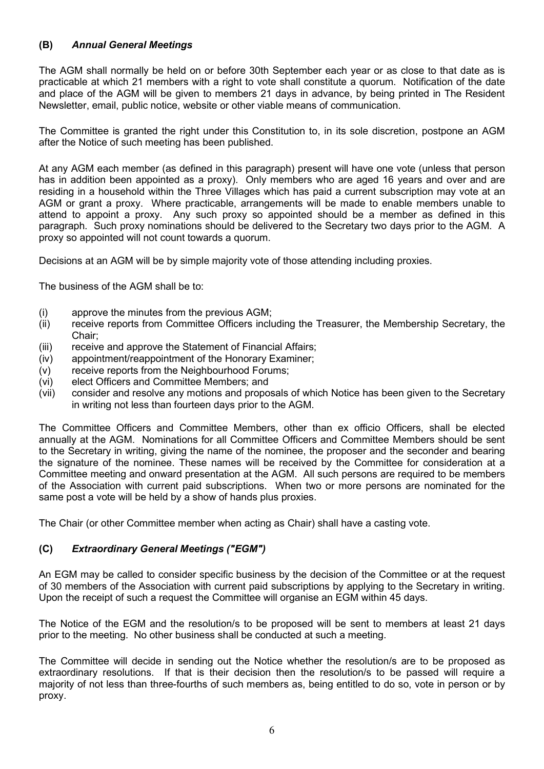# (B) Annual General Meetings

The AGM shall normally be held on or before 30th September each year or as close to that date as is practicable at which 21 members with a right to vote shall constitute a quorum. Notification of the date and place of the AGM will be given to members 21 days in advance, by being printed in The Resident Newsletter, email, public notice, website or other viable means of communication.

The Committee is granted the right under this Constitution to, in its sole discretion, postpone an AGM after the Notice of such meeting has been published.

At any AGM each member (as defined in this paragraph) present will have one vote (unless that person has in addition been appointed as a proxy). Only members who are aged 16 years and over and are residing in a household within the Three Villages which has paid a current subscription may vote at an AGM or grant a proxy. Where practicable, arrangements will be made to enable members unable to attend to appoint a proxy. Any such proxy so appointed should be a member as defined in this paragraph. Such proxy nominations should be delivered to the Secretary two days prior to the AGM. A proxy so appointed will not count towards a quorum.

Decisions at an AGM will be by simple majority vote of those attending including proxies.

The business of the AGM shall be to:

- (i) approve the minutes from the previous AGM;
- (ii) receive reports from Committee Officers including the Treasurer, the Membership Secretary, the Chair;
- (iii) receive and approve the Statement of Financial Affairs;
- (iv) appointment/reappointment of the Honorary Examiner;
- (v) receive reports from the Neighbourhood Forums;
- (vi) elect Officers and Committee Members; and
- (vii) consider and resolve any motions and proposals of which Notice has been given to the Secretary in writing not less than fourteen days prior to the AGM.

The Committee Officers and Committee Members, other than ex officio Officers, shall be elected annually at the AGM. Nominations for all Committee Officers and Committee Members should be sent to the Secretary in writing, giving the name of the nominee, the proposer and the seconder and bearing the signature of the nominee. These names will be received by the Committee for consideration at a Committee meeting and onward presentation at the AGM. All such persons are required to be members of the Association with current paid subscriptions. When two or more persons are nominated for the same post a vote will be held by a show of hands plus proxies.

The Chair (or other Committee member when acting as Chair) shall have a casting vote.

# (C) Extraordinary General Meetings ("EGM")

An EGM may be called to consider specific business by the decision of the Committee or at the request of 30 members of the Association with current paid subscriptions by applying to the Secretary in writing. Upon the receipt of such a request the Committee will organise an EGM within 45 days.

The Notice of the EGM and the resolution/s to be proposed will be sent to members at least 21 days prior to the meeting. No other business shall be conducted at such a meeting.

The Committee will decide in sending out the Notice whether the resolution/s are to be proposed as extraordinary resolutions. If that is their decision then the resolution/s to be passed will require a majority of not less than three-fourths of such members as, being entitled to do so, vote in person or by proxy.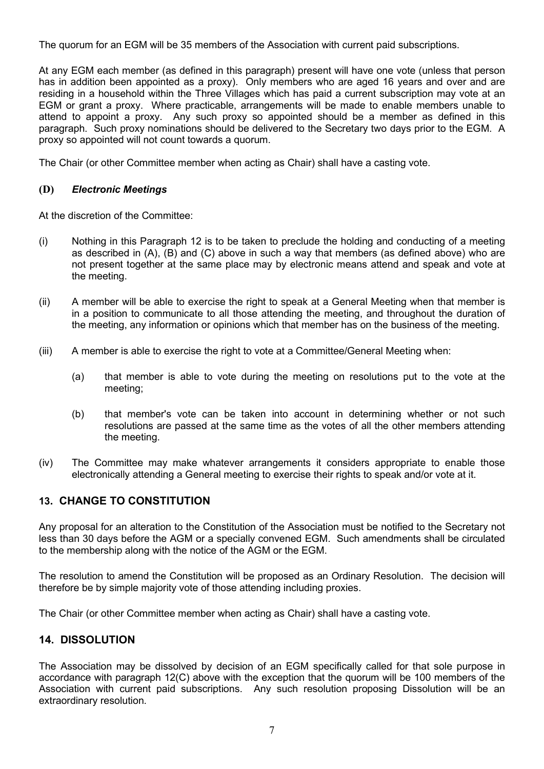The quorum for an EGM will be 35 members of the Association with current paid subscriptions.

At any EGM each member (as defined in this paragraph) present will have one vote (unless that person has in addition been appointed as a proxy). Only members who are aged 16 years and over and are residing in a household within the Three Villages which has paid a current subscription may vote at an EGM or grant a proxy. Where practicable, arrangements will be made to enable members unable to attend to appoint a proxy. Any such proxy so appointed should be a member as defined in this paragraph. Such proxy nominations should be delivered to the Secretary two days prior to the EGM. A proxy so appointed will not count towards a quorum.

The Chair (or other Committee member when acting as Chair) shall have a casting vote.

# (D) Electronic Meetings

At the discretion of the Committee:

- (i) Nothing in this Paragraph 12 is to be taken to preclude the holding and conducting of a meeting as described in (A), (B) and (C) above in such a way that members (as defined above) who are not present together at the same place may by electronic means attend and speak and vote at the meeting.
- (ii) A member will be able to exercise the right to speak at a General Meeting when that member is in a position to communicate to all those attending the meeting, and throughout the duration of the meeting, any information or opinions which that member has on the business of the meeting.
- (iii) A member is able to exercise the right to vote at a Committee/General Meeting when:
	- (a) that member is able to vote during the meeting on resolutions put to the vote at the meeting;
	- (b) that member's vote can be taken into account in determining whether or not such resolutions are passed at the same time as the votes of all the other members attending the meeting.
- (iv) The Committee may make whatever arrangements it considers appropriate to enable those electronically attending a General meeting to exercise their rights to speak and/or vote at it.

#### 13. CHANGE TO CONSTITUTION

Any proposal for an alteration to the Constitution of the Association must be notified to the Secretary not less than 30 days before the AGM or a specially convened EGM. Such amendments shall be circulated to the membership along with the notice of the AGM or the EGM.

The resolution to amend the Constitution will be proposed as an Ordinary Resolution. The decision will therefore be by simple majority vote of those attending including proxies.

The Chair (or other Committee member when acting as Chair) shall have a casting vote.

# 14. DISSOLUTION

The Association may be dissolved by decision of an EGM specifically called for that sole purpose in accordance with paragraph 12(C) above with the exception that the quorum will be 100 members of the Association with current paid subscriptions. Any such resolution proposing Dissolution will be an extraordinary resolution.